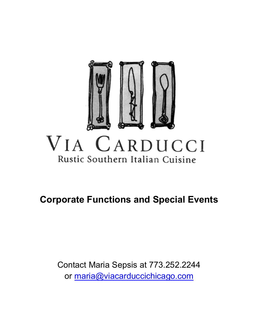

# **Corporate Functions and Special Events**

Contact Maria Sepsis at 773.252.2244 or maria@viacarduccichicago.com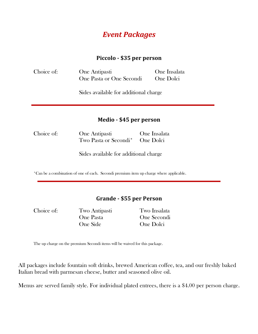# *Event Packages*

## **Piccolo - \$35 per person**

| Choice of: | One Antipasti            | One Insalata |
|------------|--------------------------|--------------|
|            | One Pasta or One Secondi | One Dolci    |

Sides available for additional charge

## **Medio - \$45 per person**

Choice of: One Antipasti One Insalata Two Pasta or Secondi\* One Dolci

Sides available for additional charge

\*Can be a combination of one of each. Secondi premium item up charge where applicable.

## **Grande - \$55 per Person**

Choice of: Two Antipasti Two Insalata One Pasta One Secondi One Side One Dolci

The up charge on the premium Secondi items will be waived for this package.

All packages include fountain soft drinks, brewed American coffee, tea, and our freshly baked Italian bread with parmesan cheese, butter and seasoned olive oil.

Menus are served family style. For individual plated entrees, there is a \$4.00 per person charge.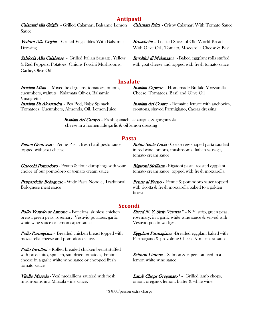## **Antipasti**

Calamari alla Griglia - Grilled Calamari, Balsamic Lemon Sauce

Vedure Alla Griglia - Grilled Vegetables With Balsamic Dressing

Salsiccia Alla Calabrese - Grilled Italian Sausage, Yellow & Red Peppers, Potatoes, Onions Porcini Mushrooms, Garlic, Olive Oil

#### **Insalate**

Insalata Mista - Mixed field greens, tomatoes, onions, cucumbers, walnuts, Kalamata Olives, Balsamic Vinaigrette Insalata Di Alessandra - Pea Pod, Baby Spinach, Tomatoes, Cucumbers, Almonds, Oil, Lemon Juice

Insalata Caprese - Homemade Buffalo Mozzarella Cheese, Tomatoes, Basil and Olive Oil

Insalata dei Cesare - Romaine lettuce with anchovies, croutons, shaved Parmigiano, Caesar dressing

**Insalata del Campo -** Fresh spinach, asparagus, & gorgonzola cheese in a homemade garlic & oil lemon dressing

#### **Pasta**

**Penne Genovese -** Penne Pasta, fresh basil pesto sauce, topped with goat cheese

**Gnocchi Pomodoro - Potato & flour dumplings with your** choice of our pomodoro or tomato cream sauce

Pappardelle Bolognese - Wide Pasta Noodle, Traditional Bolognese meat sauce

Rotini Santa Lucia - Corkscrew shaped pasta sautéed in red wine, onions, mushrooms, Italian sausage, tomato cream sauce

**Rigatoni Siciliana - Rigatoni pasta, roasted eggplant,** tomato cream sauce, topped with fresh mozzarella

Penne al Forno - Penne & pomodoro sauce topped with ricotta & fresh mozzarella baked to a golden brown

#### **Secondi**

Pollo *Vesuvio or Limone -* Boneless, skinless chicken breast, green peas, rosemary, Vesuvio potatoes, garlic white wine sauce or lemon caper sauce

**Pollo Parmigiana - Breaded chicken breast topped with** mozzarella cheese and pomodoro sauce.

Pollo Involtini - Rolled breaded chicken breast stuffed with prosciutto, spinach, sun dried tomatoes, Fontina cheese in a garlic white wine sauce or chopped fresh tomato sauce

Vitello Marsala - Veal medallions sautéed with fresh mushrooms in a Marsala wine sauce.

Sliced N. Y. Strip Vesuvio<sup>\*</sup> - N.Y. strip, green peas, rosemary, in a garlic white wine sauce & served with Vesuvio potato wedges.

**Eggplant Parmagiana** -Breaded eggplant baked with Parmagiano & provolone Cheese & marinara sauce

Salmon Limone - Salmon & capers sautéed in a lemon white wine sauce

Lamb Chops Oreganato\* - Grilled lamb chops, onion, oregano, lemon, butter & white wine

\*\$ 8.00/person extra charge

Calamari Fritti - Crispy Calamari With Tomato Sauce

Bruschetta – Toasted Slices of Old World Bread With Olive Oil , Tomato, Mozzarella Cheese & Basil

Involtini di Melanzana - Baked eggplant rolls stuffed with goat cheese and topped with fresh tomato sauce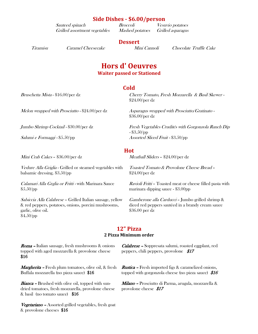| <b>Side Dishes - \$6.00/person</b> |  |  |  |
|------------------------------------|--|--|--|
|------------------------------------|--|--|--|

Sauteed spinach Broccoli Vesuvio potatoes Grilled assortment vegetables Mashed potatoes Grilled asparagus

## **Dessert**

Tiramisu Caramel Cheesecake Mini Cannoli Chocolate Truffle Cake

## **Hors d' Oeuvres Waiter passed or Stationed**

#### **Cold**

Bruschetta Mista - \$16.00/per dz Cherry Tomato, Fresh Mozzarella & Basil Skewer - \$24.00/per dz

Mini Crab Cakes – \$36.00/per dz Meatball Sliders – \$24.00/per dz

Vedure Alla Griglia - Grilled or steamed vegetables with balsamic dressing. \$3.50/pp

Calamari Alla Grglia or Fritti - with Marinara Sauce \$5.50/pp

Salsiccia Alla Calabrese - Grilled Italian sausage, yellow & red peppers, potatoes, onions, porcini mushrooms, garlic, olive oil. \$4.50/pp

Melon wrapped with Prosciutto -  $$24.00/per$  dz  $A$  sparagus wrapped with Prosciutto/Gratinato -\$36.00/per dz

Jumbo Shrimp Cocktail - \$30.00/per dz Fresh Vegetables Crudités with Gorgonzola Ranch Dip - \$3.50/pp Salumi e Formaggi - \$5.50/pp Assorted Sliced Fruit - \$3.50/pp

#### **Hot**

Toasted Tomato & Provolone Cheese Bread – \$24.00/per dz

Ravioli Fritti – Toasted meat or cheese filled pasta with marinara dipping sauce - \$3.00pp

Gamberone alla Carducci – Jumbo grilled shrimp & diced red peppers sautéed in a brandy cream sauce \$36.00 per dz

## **12" Pizza**

#### **2 Pizza Minimum order**

Roma – Italian sausage, fresh mushrooms & onions topped with aged mozzarella & provolone cheese \$16

Margherita – Fresh plum tomatoes, olive oil, & fresh Buffala mozzarella (no pizza sauce) \$16

**Bianca** - Brushed with olive oil, topped with sundried tomatoes, fresh mozzarella, provolone cheese & basil (no tomato sauce) \$16

Vegetariano – Assorted grilled vegetables, fresh goat & provolone cheeses \$16

Calabrese – Soppresata salumi, roasted eggplant, red peppers, chili peppers, provolone \$17

Rustica – Fresh imported figs & caramelized onions, topped with gorgonzola cheese (no pizza sauce)  $$16$ 

Milano – Prosciutto di Parma, arugula, mozzarella & provolone cheese \$17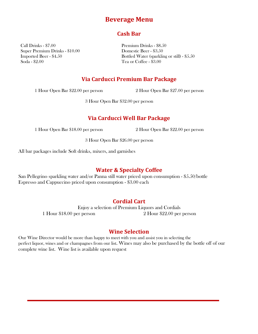# **Beverage Menu**

## **Cash Bar**

Call Drinks - \$7.00 Premium Drinks - \$8.50 Super Premium Drinks - \$10.00 Domestic Beer - \$3.50 Soda - \$2.00 Tea or Coffee - \$3.00

Imported Beer - \$4.50 Bottled Water (sparkling or still) - \$5.50

## **Via Carducci Premium Bar Package**

1 Hour Open Bar \$22.00 per person 2 Hour Open Bar \$27.00 per person

3 Hour Open Bar \$32.00 per person

## **Via Carducci Well Bar Package**

1 Hour Open Bar \$18.00 per person 2 Hour Open Bar \$22.00 per person

3 Hour Open Bar \$26.00 per person

All bar packages include Soft drinks, mixers, and garnishes

## **Water & Specialty Coffee**

San Pellegrino sparkling water and/or Panna still water priced upon consumption - \$5.50/bottle Espresso and Cappuccino priced upon consumption - \$3.00 each

## **Cordial Cart**

Enjoy a selection of Premium Liquors and Cordials 1 Hour \$18.00 per person 2 Hour \$22.00 per person

## **Wine Selection**

Our Wine Director would be more than happy to meet with you and assist you in selecting the perfect liquor, wines and or champagnes from our list. Wines may also be purchased by the bottle off of our complete wine list. Wine list is available upon request